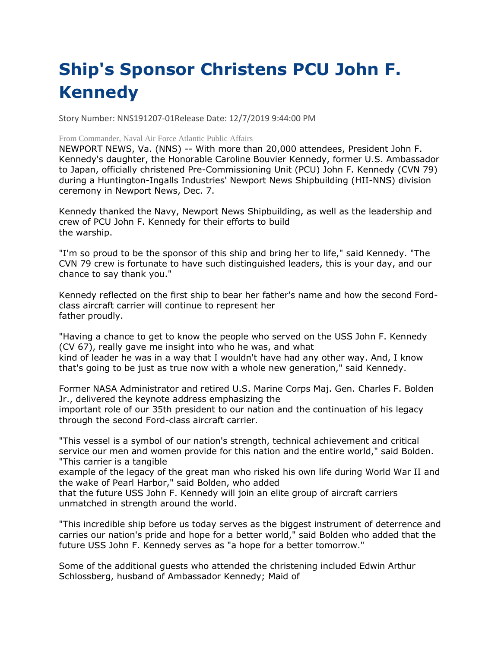## **Ship's Sponsor Christens PCU John F. Kennedy**

Story Number: NNS191207-01Release Date: 12/7/2019 9:44:00 PM

## From Commander, Naval Air Force Atlantic Public Affairs

NEWPORT NEWS, Va. (NNS) -- With more than 20,000 attendees, President John F. Kennedy's daughter, the Honorable Caroline Bouvier Kennedy, former U.S. Ambassador to Japan, officially christened Pre-Commissioning Unit (PCU) John F. Kennedy (CVN 79) during a Huntington-Ingalls Industries' Newport News Shipbuilding (HII-NNS) division ceremony in Newport News, Dec. 7.

Kennedy thanked the Navy, Newport News Shipbuilding, as well as the leadership and crew of PCU John F. Kennedy for their efforts to build the warship.

"I'm so proud to be the sponsor of this ship and bring her to life," said Kennedy. "The CVN 79 crew is fortunate to have such distinguished leaders, this is your day, and our chance to say thank you."

Kennedy reflected on the first ship to bear her father's name and how the second Fordclass aircraft carrier will continue to represent her father proudly.

"Having a chance to get to know the people who served on the USS John F. Kennedy (CV 67), really gave me insight into who he was, and what kind of leader he was in a way that I wouldn't have had any other way. And, I know

that's going to be just as true now with a whole new generation," said Kennedy.

Former NASA Administrator and retired U.S. Marine Corps Maj. Gen. Charles F. Bolden Jr., delivered the keynote address emphasizing the important role of our 35th president to our nation and the continuation of his legacy through the second Ford-class aircraft carrier.

"This vessel is a symbol of our nation's strength, technical achievement and critical service our men and women provide for this nation and the entire world," said Bolden. "This carrier is a tangible

example of the legacy of the great man who risked his own life during World War II and the wake of Pearl Harbor," said Bolden, who added

that the future USS John F. Kennedy will join an elite group of aircraft carriers unmatched in strength around the world.

"This incredible ship before us today serves as the biggest instrument of deterrence and carries our nation's pride and hope for a better world," said Bolden who added that the future USS John F. Kennedy serves as "a hope for a better tomorrow."

Some of the additional guests who attended the christening included Edwin Arthur Schlossberg, husband of Ambassador Kennedy; Maid of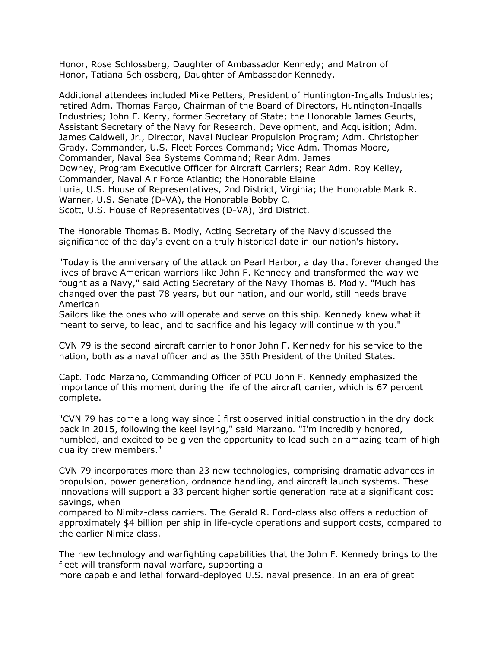Honor, Rose Schlossberg, Daughter of Ambassador Kennedy; and Matron of Honor, Tatiana Schlossberg, Daughter of Ambassador Kennedy.

Additional attendees included Mike Petters, President of Huntington-Ingalls Industries; retired Adm. Thomas Fargo, Chairman of the Board of Directors, Huntington-Ingalls Industries; John F. Kerry, former Secretary of State; the Honorable James Geurts, Assistant Secretary of the Navy for Research, Development, and Acquisition; Adm. James Caldwell, Jr., Director, Naval Nuclear Propulsion Program; Adm. Christopher Grady, Commander, U.S. Fleet Forces Command; Vice Adm. Thomas Moore, Commander, Naval Sea Systems Command; Rear Adm. James Downey, Program Executive Officer for Aircraft Carriers; Rear Adm. Roy Kelley, Commander, Naval Air Force Atlantic; the Honorable Elaine Luria, U.S. House of Representatives, 2nd District, Virginia; the Honorable Mark R. Warner, U.S. Senate (D-VA), the Honorable Bobby C. Scott, U.S. House of Representatives (D-VA), 3rd District.

The Honorable Thomas B. Modly, Acting Secretary of the Navy discussed the significance of the day's event on a truly historical date in our nation's history.

"Today is the anniversary of the attack on Pearl Harbor, a day that forever changed the lives of brave American warriors like John F. Kennedy and transformed the way we fought as a Navy," said Acting Secretary of the Navy Thomas B. Modly. "Much has changed over the past 78 years, but our nation, and our world, still needs brave American

Sailors like the ones who will operate and serve on this ship. Kennedy knew what it meant to serve, to lead, and to sacrifice and his legacy will continue with you."

CVN 79 is the second aircraft carrier to honor John F. Kennedy for his service to the nation, both as a naval officer and as the 35th President of the United States.

Capt. Todd Marzano, Commanding Officer of PCU John F. Kennedy emphasized the importance of this moment during the life of the aircraft carrier, which is 67 percent complete.

"CVN 79 has come a long way since I first observed initial construction in the dry dock back in 2015, following the keel laying," said Marzano. "I'm incredibly honored, humbled, and excited to be given the opportunity to lead such an amazing team of high quality crew members."

CVN 79 incorporates more than 23 new technologies, comprising dramatic advances in propulsion, power generation, ordnance handling, and aircraft launch systems. These innovations will support a 33 percent higher sortie generation rate at a significant cost savings, when

compared to Nimitz-class carriers. The Gerald R. Ford-class also offers a reduction of approximately \$4 billion per ship in life-cycle operations and support costs, compared to the earlier Nimitz class.

The new technology and warfighting capabilities that the John F. Kennedy brings to the fleet will transform naval warfare, supporting a

more capable and lethal forward-deployed U.S. naval presence. In an era of great